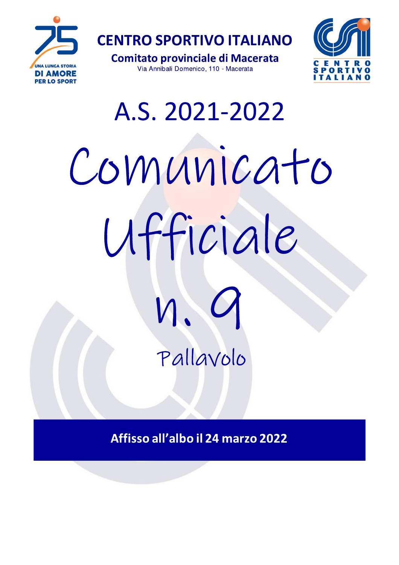

**Comitato provinciale di Macerata** Via Annibali Domenico, 110 - Macerata



# A.S. 2021-2022 Comunicato Ufficiale И. Pallavolo

Affisso all'albo il 24 marzo 2022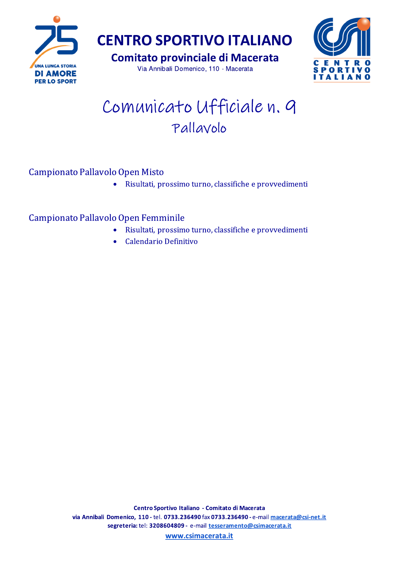

**Comitato provinciale di Macerata** 

Via Annibali Domenico, 110 - Macerata



# Comunicato Ufficiale n. 9 Pallavolo

## Campionato Pallavolo Open Misto

· Risultati, prossimo turno, classifiche e provvedimenti

### Campionato Pallavolo Open Femminile

- Risultati, prossimo turno, classifiche e provvedimenti  $\bullet$
- Calendario Definitivo  $\bullet$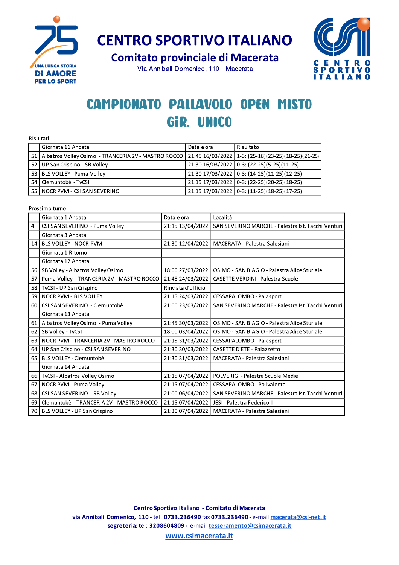

**Comitato provinciale di Macerata** 

Via Annibali Domenico, 110 - Macerata



# **CAMPIONATO PALLAVOLO OPEN MISTO** GIR. UNICO

| Risultati |                                                          |            |                                                    |
|-----------|----------------------------------------------------------|------------|----------------------------------------------------|
|           | Giornata 11 Andata                                       | Data e ora | Risultato                                          |
|           | 51   Albatros Volley Osimo - TRANCERIA 2V - MASTRO ROCCO |            | 21:45 16/03/2022 1-3: (25-18)(23-25)(18-25)(21-25) |
|           | 52 UP San Crispino - SB Volley                           |            | 21:30 16/03/2022 0-3: (22-25)(5-25)(11-25)         |
|           | 53 BLS VOLLEY - Puma Volley                              |            | 21:30 17/03/2022 0-3: (14-25)(11-25)(12-25)        |
|           | 54 Clemuntobè - TyCSI                                    |            | 21:15 17/03/2022 0-3: (22-25)(20-25)(18-25)        |
|           | 55 NOCR PVM - CSI SAN SEVERINO                           |            | 21:15 17/03/2022 0-3: (11-25)(18-25)(17-25)        |

Prossimo turno

|                | Giornata 1 Andata                         | Data e ora         | Località                                           |
|----------------|-------------------------------------------|--------------------|----------------------------------------------------|
| $\overline{4}$ | CSI SAN SEVERINO - Puma Volley            | 21:15 13/04/2022   | SAN SEVERINO MARCHE - Palestra Ist. Tacchi Venturi |
|                | Giornata 3 Andata                         |                    |                                                    |
| 14             | <b>BLS VOLLEY - NOCR PVM</b>              | 21:30 12/04/2022   | MACERATA - Palestra Salesiani                      |
|                | Giornata 1 Ritorno                        |                    |                                                    |
|                | Giornata 12 Andata                        |                    |                                                    |
| 56             | SB Volley - Albatros Volley Osimo         | 18:00 27/03/2022   | OSIMO - SAN BIAGIO - Palestra Alice Sturiale       |
| 57             | Puma Volley - TRANCERIA 2V - MASTRO ROCCO | 21:45 24/03/2022   | <b>CASETTE VERDINI - Palestra Scuole</b>           |
| 58             | TvCSI - UP San Crispino                   | Rinviata d'ufficio |                                                    |
| 59             | <b>NOCR PVM - BLS VOLLEY</b>              | 21:15 24/03/2022   | CESSAPALOMBO - Palasport                           |
| 60             | CSI SAN SEVERINO - Clemuntobè             | 21:00 23/03/2022   | SAN SEVERINO MARCHE - Palestra Ist. Tacchi Venturi |
|                | Giornata 13 Andata                        |                    |                                                    |
| 61             | Albatros Volley Osimo - Puma Volley       | 21:45 30/03/2022   | OSIMO - SAN BIAGIO - Palestra Alice Sturiale       |
| 62             | SB Volley - TvCSI                         | 18:00 03/04/2022   | OSIMO - SAN BIAGIO - Palestra Alice Sturiale       |
| 63             | NOCR PVM - TRANCERIA 2V - MASTRO ROCCO    | 21:15 31/03/2022   | CESSAPALOMBO - Palasport                           |
| 64             | UP San Crispino - CSI SAN SEVERINO        | 21:30 30/03/2022   | <b>CASETTE D'ETE - Palazzetto</b>                  |
| 65             | BLS VOLLEY - Clemuntobè                   | 21:30 31/03/2022   | MACERATA - Palestra Salesiani                      |
|                | Giornata 14 Andata                        |                    |                                                    |
| 66             | TvCSI - Albatros Volley Osimo             | 21:15 07/04/2022   | POLVERIGI - Palestra Scuole Medie                  |
| 67             | NOCR PVM - Puma Volley                    | 21:15 07/04/2022   | CESSAPALOMBO - Polivalente                         |
| 68             | CSI SAN SEVERINO - SB Volley              | 21:00 06/04/2022   | SAN SEVERINO MARCHE - Palestra Ist. Tacchi Venturi |
| 69             | Clemuntobè - TRANCERIA 2V - MASTRO ROCCO  | 21:15 07/04/2022   | JESI - Palestra Federico II                        |
| 70             | BLS VOLLEY - UP San Crispino              | 21:30 07/04/2022   | MACERATA - Palestra Salesiani                      |

www.csimacerata.it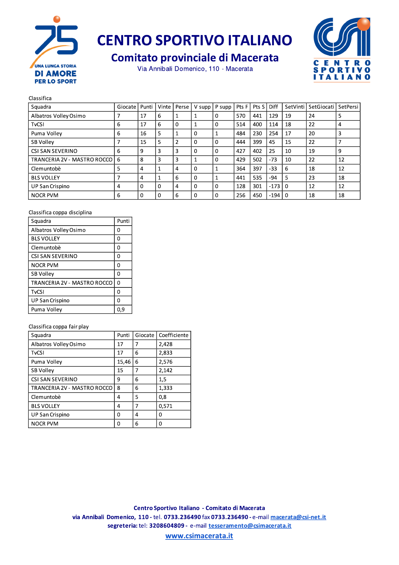

**Comitato provinciale di Macerata** 

Via Annibali Domenico, 110 - Macerata



#### Classifica

| Squadra                         | Giocate | Punti    | Vinte    | Perse          |          | $V$ supp $P$ supp | Pts F | Pts S | Diff   |          | SetVinti SetGiocati | SetPersi |
|---------------------------------|---------|----------|----------|----------------|----------|-------------------|-------|-------|--------|----------|---------------------|----------|
| Albatros Volley Osimo           |         | 17       | 6        |                |          | 0                 | 570   | 441   | 129    | 19       | 24                  | 5        |
| <b>TvCSI</b>                    | 6       | 17       | 6        | 0              |          | 0                 | 514   | 400   | 114    | 18       | 22                  | 4        |
| Puma Vollev                     | 6       | 16       | 5        |                | $\Omega$ |                   | 484   | 230   | 254    | 17       | 20                  | 3        |
| SB Volley                       |         | 15       | 5        | $\overline{2}$ | $\Omega$ | 0                 | 444   | 399   | 45     | 15       | 22                  |          |
| CSI SAN SEVERINO                | 6       | 9        | 3        | 3              | $\Omega$ | 0                 | 427   | 402   | 25     | 10       | 19                  | 9        |
| TRANCERIA 2V - MASTRO ROCCO   6 |         | 8        | 3        | 3              |          | 0                 | 429   | 502   | $-73$  | 10       | 22                  | 12       |
| Clemuntobè                      | 5       | 4        |          | 4              | $\Omega$ |                   | 364   | 397   | -33    | 6        | 18                  | 12       |
| <b>BLS VOLLEY</b>               |         | 4        |          | 6              | $\Omega$ |                   | 441   | 535   | -94    | 5        | 23                  | 18       |
| UP San Crispino                 | 4       | $\Omega$ | $\Omega$ | 4              | $\Omega$ | 0                 | 128   | 301   | $-173$ | $\Omega$ | 12                  | 12       |
| <b>NOCR PVM</b>                 | 6       | 0        |          | 6              | $\Omega$ | 0                 | 256   | 450   | $-194$ | 0        | 18                  | 18       |

#### Classifica coppa disciplina

| Squadra                     | Punti    |
|-----------------------------|----------|
| Albatros Volley Osimo       | O        |
| <b>BLS VOLLEY</b>           | O        |
| Clemuntobè                  | 0        |
| CSI SAN SEVERINO            | O        |
| NOCR PVM                    | ი        |
| <b>SB Volley</b>            | 0        |
| TRANCERIA 2V - MASTRO ROCCO | $\Omega$ |
| <b>TvCSI</b>                | ი        |
| UP San Crispino             | Ω        |
| Puma Volley                 | 0.9      |

#### Classifica coppa fair play

| Squadra                     | Punti | Giocate | Coefficiente |
|-----------------------------|-------|---------|--------------|
| Albatros Volley Osimo       | 17    | 7       | 2,428        |
| <b>TvCSI</b>                | 17    | 6       | 2.833        |
| Puma Volley                 | 15,46 | 6       | 2,576        |
| SB Volley                   | 15    | 7       | 2,142        |
| CSI SAN SEVERINO            | 9     | 6       | 1,5          |
| TRANCERIA 2V - MASTRO ROCCO | 8     | 6       | 1.333        |
| Clemuntobè                  | 4     | 5       | 0.8          |
| <b>BLS VOLLEY</b>           | 4     | 7       | 0,571        |
| UP San Crispino             | ი     | 4       | O            |
| <b>NOCR PVM</b>             | ი     | 6       | 0            |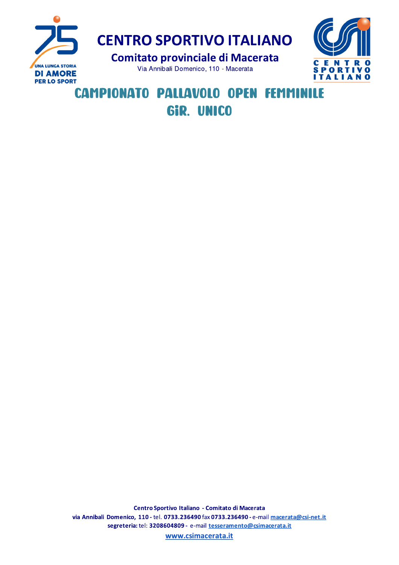



# **CAMPIONATO PALLAVOLO OPEN FEMMINILE** GIR. UNICO

Centro Sportivo Italiano - Comitato di Macerata via Annibali Domenico, 110 - tel. 0733.236490 fax 0733.236490 - e-mail macerata@csi-net.it segreteria: tel: 3208604809 - e-mail tesseramento@csimacerata.it

www.csimacerata.it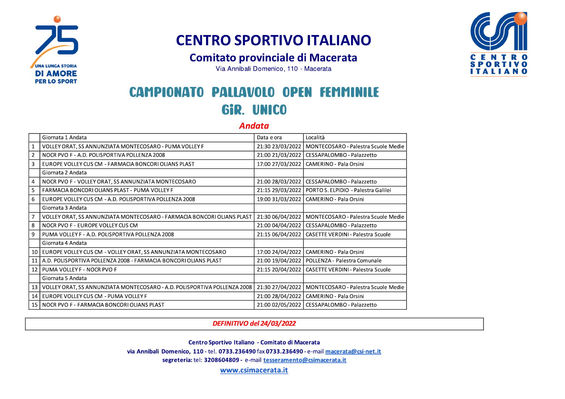

## **Comitato provinciale di Macerata**

Via Annibali Domenico, 110 - Macerata

# **CAMPIONATO PALLAVOLO OPEN FEMMINILE** GIR. UNICO

### **Andata**

|                 | Giornata 1 Andata                                                        | Data e ora       | Località                                 |
|-----------------|--------------------------------------------------------------------------|------------------|------------------------------------------|
|                 | VOLLEY ORAT, SS ANNUNZIATA MONTECOSARO - PUMA VOLLEY F                   | 21:30 23/03/2022 | MONTECOSARO - Palestra Scuole Medie      |
| $\overline{2}$  | NOCR PVO F - A.D. POLISPORTIVA POLLENZA 2008                             | 21:00 21/03/2022 | CESSAPALOMBO - Palazzetto                |
| 3               | EUROPE VOLLEY CUS CM - FARMACIA BONCORI OLIANS PLAST                     | 17:00 27/03/2022 | <b>CAMERINO - Pala Orsini</b>            |
|                 | Giornata 2 Andata                                                        |                  |                                          |
| 4               | NOCR PVO F - VOLLEY ORAT, SS ANNUNZIATA MONTECOSARO                      | 21:00 28/03/2022 | CESSAPALOMBO - Palazzetto                |
| 5.              | FARMACIA BONCORI OLIANS PLAST - PUMA VOLLEY F                            | 21:15 29/03/2022 | PORTO S. ELPIDIO - Palestra Galilei      |
| 6               | EUROPE VOLLEY CUS CM - A.D. POLISPORTIVA POLLENZA 2008                   | 19:00 31/03/2022 | CAMERINO - Pala Orsini                   |
|                 | Giornata 3 Andata                                                        |                  |                                          |
|                 | VOLLEY ORAT, SS ANNUNZIATA MONTECOSARO - FARMACIA BONCORI OLIANS PLAST   | 21:30 06/04/2022 | MONTECOSARO - Palestra Scuole Medie      |
| 8               | NOCR PVO F - EUROPE VOLLEY CUS CM                                        | 21:00 04/04/2022 | CESSAPALOMBO - Palazzetto                |
| 9               | PUMA VOLLEY F - A.D. POLISPORTIVA POLLENZA 2008                          | 21:15 06/04/2022 | <b>CASETTE VERDINI - Palestra Scuole</b> |
|                 | Giornata 4 Andata                                                        |                  |                                          |
| 10              | EUROPE VOLLEY CUS CM - VOLLEY ORAT, SS ANNUNZIATA MONTECOSARO            | 17:00 24/04/2022 | CAMERINO - Pala Orsini                   |
| 11              | A.D. POLISPORTIVA POLLENZA 2008 - FARMACIA BONCORI OLIANS PLAST          | 21:00 19/04/2022 | POLLENZA - Palestra Comunale             |
| 12 <sup>1</sup> | PUMA VOLLEY F - NOCR PVO F                                               | 21:15 20/04/2022 | <b>CASETTE VERDINI - Palestra Scuole</b> |
|                 | Giornata 5 Andata                                                        |                  |                                          |
| 13              | VOLLEY ORAT, SS ANNUNZIATA MONTECOSARO - A.D. POLISPORTIVA POLLENZA 2008 | 21:30 27/04/2022 | MONTECOSARO - Palestra Scuole Medie      |
| 14              | l EUROPE VOLLEY CUS CM - PUMA VOLLEY F                                   | 21:00 28/04/2022 | <b>CAMERINO - Pala Orsini</b>            |
|                 | 15   NOCR PVO F - FARMACIA BONCORI OLIANS PLAST                          | 21:00 02/05/2022 | CESSAPALOMBO - Palazzetto                |

# ITALIANO

### DEFINITIVO del 24/03/2022

Centro Sportivo Italiano - Comitato di Macerata

via Annibali Domenico, 110 - tel. 0733.236490 fax 0733.236490 - e-mail macerata@csi-net.it

segreteria: tel: 3208604809 - e-mail tesseramento@csimacerata.it

www.csimacerata.it